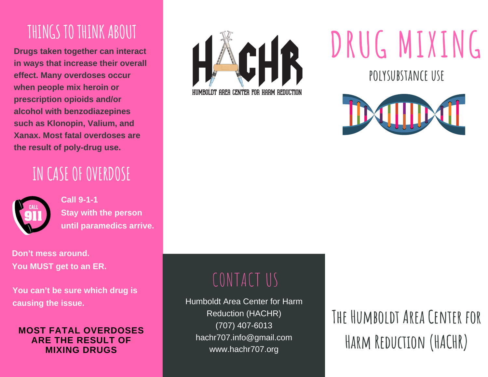#### THINGS TO THINK ABOUT

**Drugs taken together can interact in ways that increase their overall effect. Many overdoses occur when people mix heroin or prescription opioids and/or alcohol with benzodiazepines such as Klonopin, Valium, and Xanax. Most fatal overdoses are the result of poly-drug use.**

### **IN CASEOFOVERDOSE**



**Call 9-1-1 Stay with the person until paramedics arrive.**

**Don't mess around. You MUST get to an ER.**

**You can't be sure which drug is causing the issue.**

#### **MOST FATAL OVERDOSES ARE THE RESULT OF MIXING DRUGS**



# **DRUG MIXING**

**polysubstance use**



### CONTACT US

Humboldt Area Center for Harm Reduction (HACHR) (707) 407-6013 hachr707.info@gmail.com www.hachr707.org

## **The Humboldt Area Center for Harm Reduction (HACHR)**